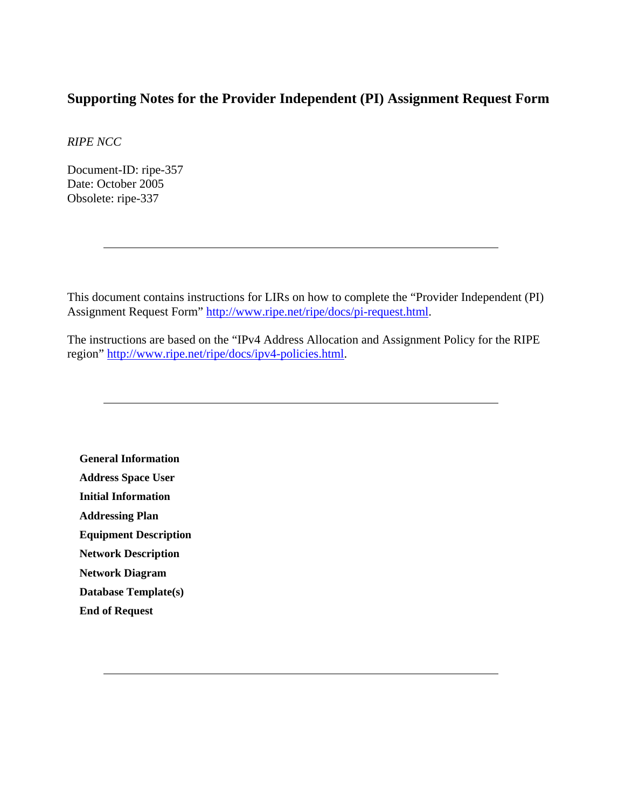# **Supporting Notes for the Provider Independent (PI) Assignment Request Form**

*RIPE NCC* 

Document-ID: ripe-357 Date: October 2005 Obsolete: ripe-337

This document contains instructions for LIRs on how to complete the "Provider Independent (PI) Assignment Request Form" [http://www.ripe.net/ripe/docs/pi-request.html.](http://www.ripe.net/ripe/docs/pi-request.html)

The instructions are based on the "IPv4 Address Allocation and Assignment Policy for the RIPE region" <http://www.ripe.net/ripe/docs/ipv4-policies.html>.

**[General Information](#page-1-0) [Address Space User](#page-1-0) [Initial Information](#page-1-0) [Addressing Plan](#page-2-0) [Equipment Description](#page-3-0) [Network Description](#page-4-0) [Network Diagram](#page-4-0) [Database Template\(s\)](#page-5-0) [End of Request](#page-6-0)**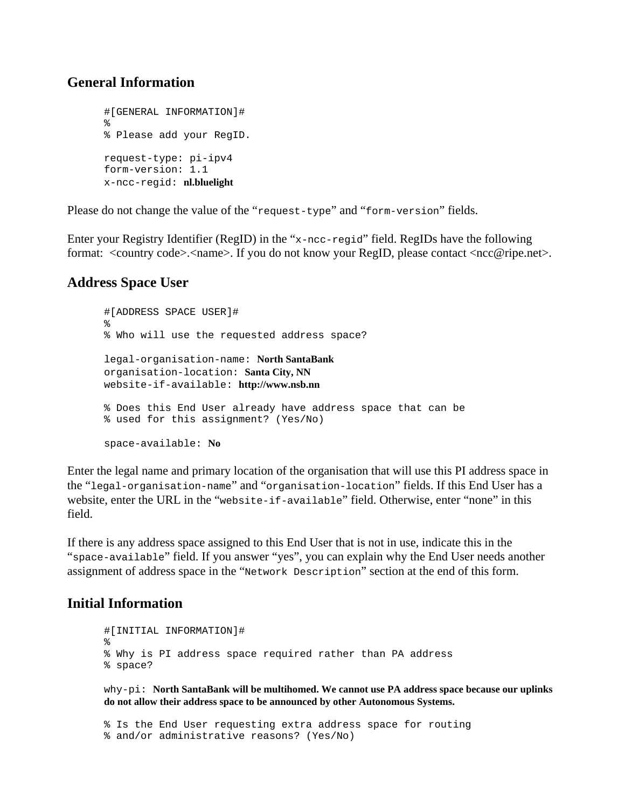#### <span id="page-1-0"></span>**General Information**

```
#[GENERAL INFORMATION]# 
% 
% Please add your RegID. 
request-type: pi-ipv4 
form-version: 1.1 
x-ncc-regid: nl.bluelight
```
Please do not change the value of the "request-type" and "form-version" fields.

Enter your Registry Identifier (RegID) in the "x-ncc-regid" field. RegIDs have the following format: <country code>.<name>. If you do not know your RegID, please contact <ncc@ripe.net>.

### **Address Space User**

```
#[ADDRESS SPACE USER]# 
% 
% Who will use the requested address space? 
legal-organisation-name: North SantaBank 
organisation-location: Santa City, NN
website-if-available: http://www.nsb.nn
% Does this End User already have address space that can be 
% used for this assignment? (Yes/No) 
space-available: No
```
Enter the legal name and primary location of the organisation that will use this PI address space in the "legal-organisation-name" and "organisation-location" fields. If this End User has a website, enter the URL in the "website-if-available" field. Otherwise, enter "none" in this field.

If there is any address space assigned to this End User that is not in use, indicate this in the "space-available" field. If you answer "yes", you can explain why the End User needs another assignment of address space in the "Network Description" section at the end of this form.

### **Initial Information**

```
#[INITIAL INFORMATION]# 
% 
% Why is PI address space required rather than PA address 
% space?
```
why-pi: **North SantaBank will be multihomed. We cannot use PA address space because our uplinks do not allow their address space to be announced by other Autonomous Systems.** 

```
% Is the End User requesting extra address space for routing 
% and/or administrative reasons? (Yes/No)
```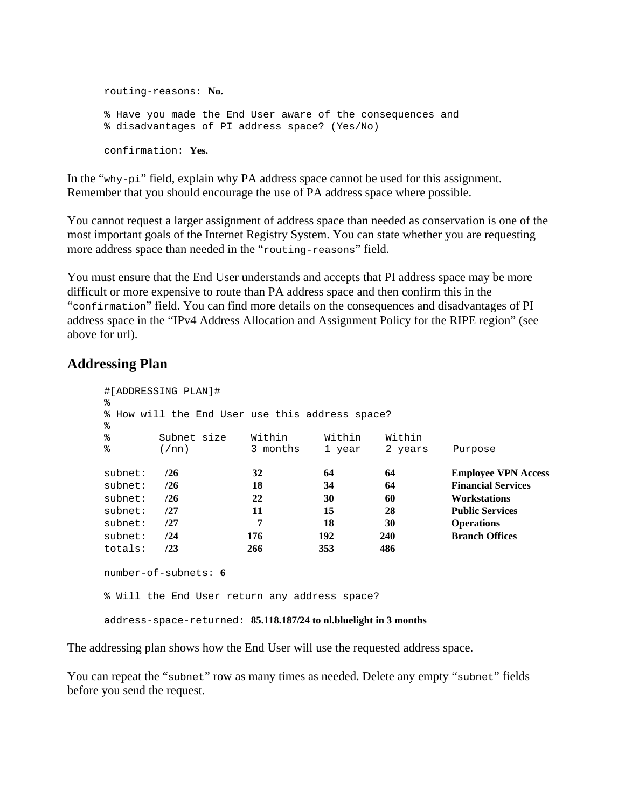<span id="page-2-0"></span>routing-reasons: **No.** % Have you made the End User aware of the consequences and % disadvantages of PI address space? (Yes/No) confirmation: **Yes.**

In the "why-pi" field, explain why PA address space cannot be used for this assignment. Remember that you should encourage the use of PA address space where possible.

You cannot request a larger assignment of address space than needed as conservation is one of the most important goals of the Internet Registry System. You can state whether you are requesting more address space than needed in the "routing-reasons" field.

You must ensure that the End User understands and accepts that PI address space may be more difficult or more expensive to route than PA address space and then confirm this in the "confirmation" field. You can find more details on the consequences and disadvantages of PI address space in the "IPv4 Address Allocation and Assignment Policy for the RIPE region" (see above for url).

## **Addressing Plan**

```
#[ADDRESSING PLAN]# 
% 
% How will the End User use this address space? 
\tilde{z}% Subnet size Within Within Within<br>% (/nn) 3 months 1 year 2 years
     % (/nn) 3 months 1 year 2 years Purpose 
subnet: /26 32 64 64 Employee VPN Access
subnet: /26 18 34 64 Financial Services
subnet: /26 22 30 60 Workstations 
subnet: /27 11 15 28 Public Services 
subnet: /27 7 18 30 Operations 
subnet: /24 176 192 240 Branch Offices 
totals: /23 266 353 486 
number-of-subnets: 6
% Will the End User return any address space? 
address-space-returned: 85.118.187/24 to nl.bluelight in 3 months
```
The addressing plan shows how the End User will use the requested address space.

You can repeat the "subnet" row as many times as needed. Delete any empty "subnet" fields before you send the request.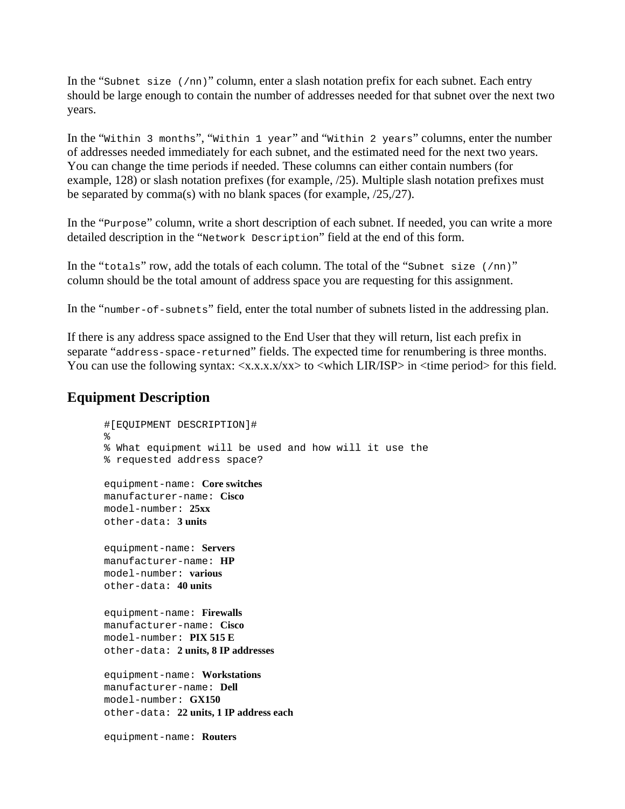<span id="page-3-0"></span>In the "subnet size (/nn)" column, enter a slash notation prefix for each subnet. Each entry should be large enough to contain the number of addresses needed for that subnet over the next two years.

In the "Within 3 months", "Within 1 year" and "Within 2 years" columns, enter the number of addresses needed immediately for each subnet, and the estimated need for the next two years. You can change the time periods if needed. These columns can either contain numbers (for example, 128) or slash notation prefixes (for example, /25). Multiple slash notation prefixes must be separated by comma(s) with no blank spaces (for example, /25,/27).

In the "Purpose" column, write a short description of each subnet. If needed, you can write a more detailed description in the "Network Description" field at the end of this form.

In the "totals" row, add the totals of each column. The total of the "subnet size (/nn)" column should be the total amount of address space you are requesting for this assignment.

In the "number-of-subnets" field, enter the total number of subnets listed in the addressing plan.

If there is any address space assigned to the End User that they will return, list each prefix in separate "address-space-returned" fields. The expected time for renumbering is three months. You can use the following syntax:  $\langle x.x.x.x\rangle xx \rangle$  to  $\langle$ which LIR/ISP $>$  in  $\langle$  time period $>$  for this field.

#### **Equipment Description**

```
#[EQUIPMENT DESCRIPTION]# 
% 
% What equipment will be used and how will it use the 
% requested address space? 
equipment-name: Core switches
manufacturer-name: Cisco
model-number: 25xx
other-data: 3 units
equipment-name: Servers
manufacturer-name: HP
model-number: various
other-data: 40 units
equipment-name: Firewalls
manufacturer-name: Cisco
model-number: PIX 515 E
other-data: 2 units, 8 IP addresses 
equipment-name: Workstations
manufacturer-name: Dell
model-number: GX150
other-data: 22 units, 1 IP address each 
equipment-name: Routers
```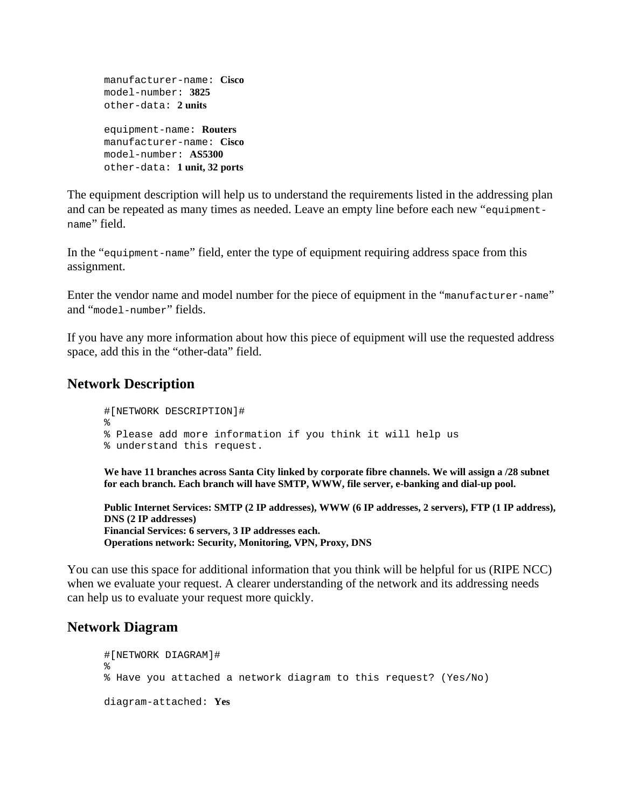```
manufacturer-name: Cisco
model-number: 3825
other-data: 2 units
equipment-name: Routers 
manufacturer-name: Cisco
model-number: AS5300
other-data: 1 unit, 32 ports
```
The equipment description will help us to understand the requirements listed in the addressing plan and can be repeated as many times as needed. Leave an empty line before each new "equipmentname" field.

In the "equipment-name" field, enter the type of equipment requiring address space from this assignment.

Enter the vendor name and model number for the piece of equipment in the "manufacturer-name" and "model-number" fields.

If you have any more information about how this piece of equipment will use the requested address space, add this in the "other-data" field.

### **Network Description**

```
#[NETWORK DESCRIPTION]# 
% 
% Please add more information if you think it will help us 
% understand this request.
```
**We have 11 branches across Santa City linked by corporate fibre channels. We will assign a /28 subnet for each branch. Each branch will have SMTP, WWW, file server, e-banking and dial-up pool.** 

**Public Internet Services: SMTP (2 IP addresses), WWW (6 IP addresses, 2 servers), FTP (1 IP address), DNS (2 IP addresses) Financial Services: 6 servers, 3 IP addresses each. Operations network: Security, Monitoring, VPN, Proxy, DNS** 

You can use this space for additional information that you think will be helpful for us (RIPE NCC) when we evaluate your request. A clearer understanding of the network and its addressing needs can help us to evaluate your request more quickly.

### **Network Diagram**

```
#[NETWORK DIAGRAM]# 
\approx% Have you attached a network diagram to this request? (Yes/No) 
diagram-attached: Yes
```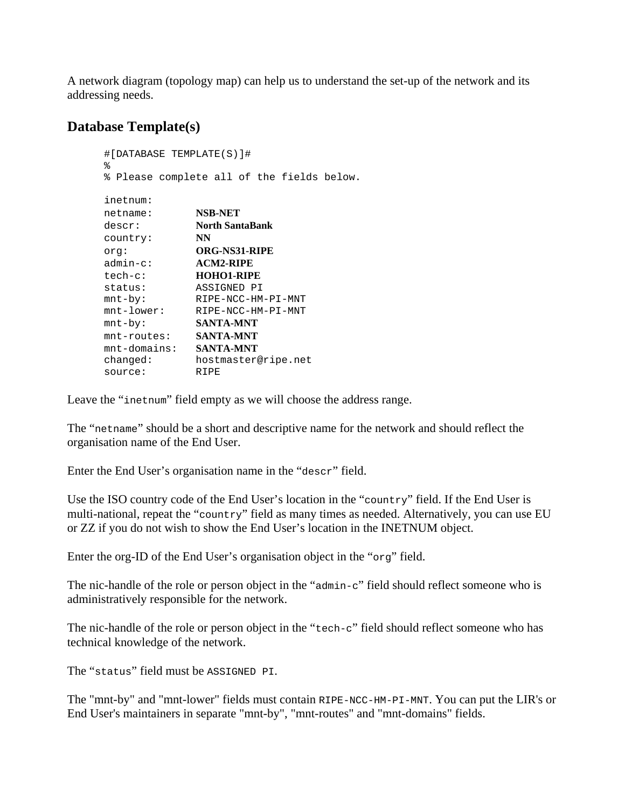<span id="page-5-0"></span>A network diagram (topology map) can help us to understand the set-up of the network and its addressing needs.

## **Database Template(s)**

```
#[DATABASE TEMPLATE(S)]# 
% 
% Please complete all of the fields below. 
inetnum: 
netname: NSB-NET 
descr: North SantaBank
desc<sub>1</sub>.<br>country:
country: NN<br>
org: ORG-NS31-RIPE<br>
admin-c: ACM2-RIPE
admin-c: ACM2-RIPE
tech-c: HOHO1-RIPE 
status: ASSIGNED PI 
mnt-by: RIPE-NCC-HM-PI-MNT 
mnt-lower: RIPE-NCC-HM-PI-MNT 
mnt-by: SANTA-MNT
mnt-routes: SANTA-MNT
mnt-domains: SANTA-MNT
changed: hostmaster@ripe.net<br>source: RIPE
source:
```
Leave the "inetnum" field empty as we will choose the address range.

The "netname" should be a short and descriptive name for the network and should reflect the organisation name of the End User.

Enter the End User's organisation name in the "descr" field.

Use the ISO country code of the End User's location in the "country" field. If the End User is multi-national, repeat the "country" field as many times as needed. Alternatively, you can use EU or ZZ if you do not wish to show the End User's location in the INETNUM object.

Enter the org-ID of the End User's organisation object in the "org" field.

The nic-handle of the role or person object in the "admin-c" field should reflect someone who is administratively responsible for the network.

The nic-handle of the role or person object in the "tech-c" field should reflect someone who has technical knowledge of the network.

The "status" field must be ASSIGNED PI.

The "mnt-by" and "mnt-lower" fields must contain RIPE-NCC-HM-PI-MNT. You can put the LIR's or End User's maintainers in separate "mnt-by", "mnt-routes" and "mnt-domains" fields.